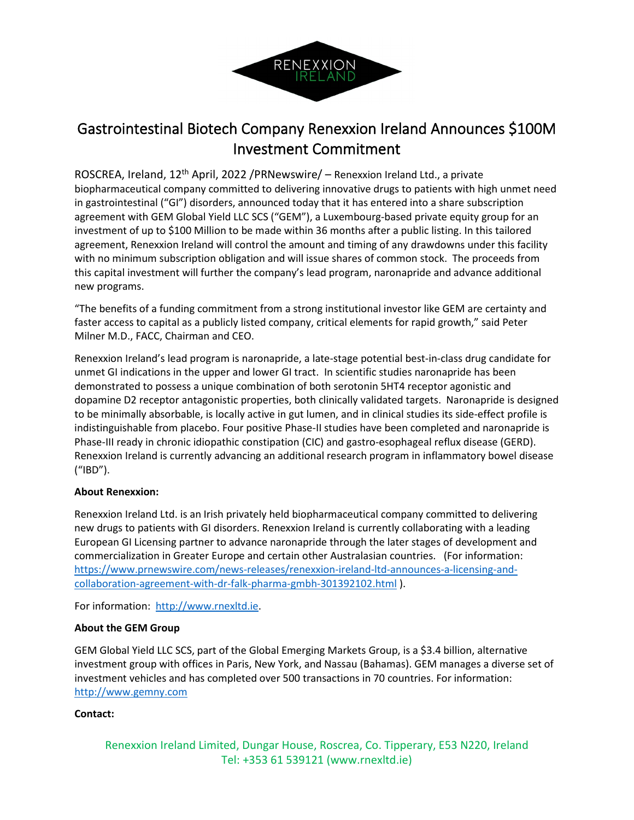

## Gastrointestinal Biotech Company Renexxion Ireland Announces \$100M Investment Commitment

ROSCREA, Ireland, 12th April, 2022 /PRNewswire/ – Renexxion Ireland Ltd., a private biopharmaceutical company committed to delivering innovative drugs to patients with high unmet need in gastrointestinal ("GI") disorders, announced today that it has entered into a share subscription agreement with GEM Global Yield LLC SCS ("GEM"), a Luxembourg-based private equity group for an investment of up to \$100 Million to be made within 36 months after a public listing. In this tailored agreement, Renexxion Ireland will control the amount and timing of any drawdowns under this facility with no minimum subscription obligation and will issue shares of common stock. The proceeds from this capital investment will further the company's lead program, naronapride and advance additional new programs.

"The benefits of a funding commitment from a strong institutional investor like GEM are certainty and faster access to capital as a publicly listed company, critical elements for rapid growth," said Peter Milner M.D., FACC, Chairman and CEO.

Renexxion Ireland's lead program is naronapride, a late-stage potential best-in-class drug candidate for unmet GI indications in the upper and lower GI tract. In scientific studies naronapride has been demonstrated to possess a unique combination of both serotonin 5HT4 receptor agonistic and dopamine D2 receptor antagonistic properties, both clinically validated targets. Naronapride is designed to be minimally absorbable, is locally active in gut lumen, and in clinical studies its side-effect profile is indistinguishable from placebo. Four positive Phase-II studies have been completed and naronapride is Phase-III ready in chronic idiopathic constipation (CIC) and gastro-esophageal reflux disease (GERD). Renexxion Ireland is currently advancing an additional research program in inflammatory bowel disease ("IBD").

## **About Renexxion:**

Renexxion Ireland Ltd. is an Irish privately held biopharmaceutical company committed to delivering new drugs to patients with GI disorders. Renexxion Ireland is currently collaborating with a leading European GI Licensing partner to advance naronapride through the later stages of development and commercialization in Greater Europe and certain other Australasian countries. (For information: https://www.prnewswire.com/news-releases/renexxion-ireland-ltd-announces-a-licensing-andcollaboration-agreement-with-dr-falk-pharma-gmbh-301392102.html ).

For information: http://www.rnexltd.ie.

## **About the GEM Group**

GEM Global Yield LLC SCS, part of the Global Emerging Markets Group, is a \$3.4 billion, alternative investment group with offices in Paris, New York, and Nassau (Bahamas). GEM manages a diverse set of investment vehicles and has completed over 500 transactions in 70 countries. For information: http://www.gemny.com

## **Contact:**

Renexxion Ireland Limited, Dungar House, Roscrea, Co. Tipperary, E53 N220, Ireland Tel: +353 61 539121 (www.rnexltd.ie)